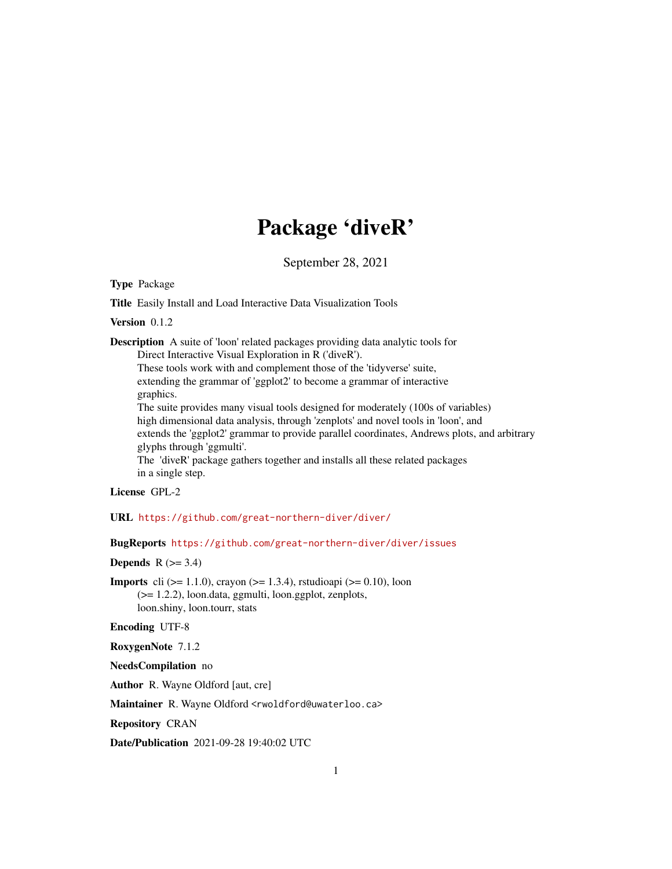## Package 'diveR'

September 28, 2021

Type Package

Title Easily Install and Load Interactive Data Visualization Tools

Version 0.1.2

Description A suite of 'loon' related packages providing data analytic tools for Direct Interactive Visual Exploration in R ('diveR').

These tools work with and complement those of the 'tidyverse' suite, extending the grammar of 'ggplot2' to become a grammar of interactive graphics.

The suite provides many visual tools designed for moderately (100s of variables) high dimensional data analysis, through 'zenplots' and novel tools in 'loon', and extends the 'ggplot2' grammar to provide parallel coordinates, Andrews plots, and arbitrary glyphs through 'ggmulti'.

The 'diveR' package gathers together and installs all these related packages in a single step.

License GPL-2

URL <https://github.com/great-northern-diver/diver/>

BugReports <https://github.com/great-northern-diver/diver/issues>

Depends  $R$  ( $>= 3.4$ )

**Imports** cli ( $> = 1.1.0$ ), crayon ( $> = 1.3.4$ ), rstudioapi ( $> = 0.10$ ), loon (>= 1.2.2), loon.data, ggmulti, loon.ggplot, zenplots, loon.shiny, loon.tourr, stats

Encoding UTF-8

RoxygenNote 7.1.2

NeedsCompilation no

Author R. Wayne Oldford [aut, cre]

Maintainer R. Wayne Oldford <rwoldford@uwaterloo.ca>

Repository CRAN

Date/Publication 2021-09-28 19:40:02 UTC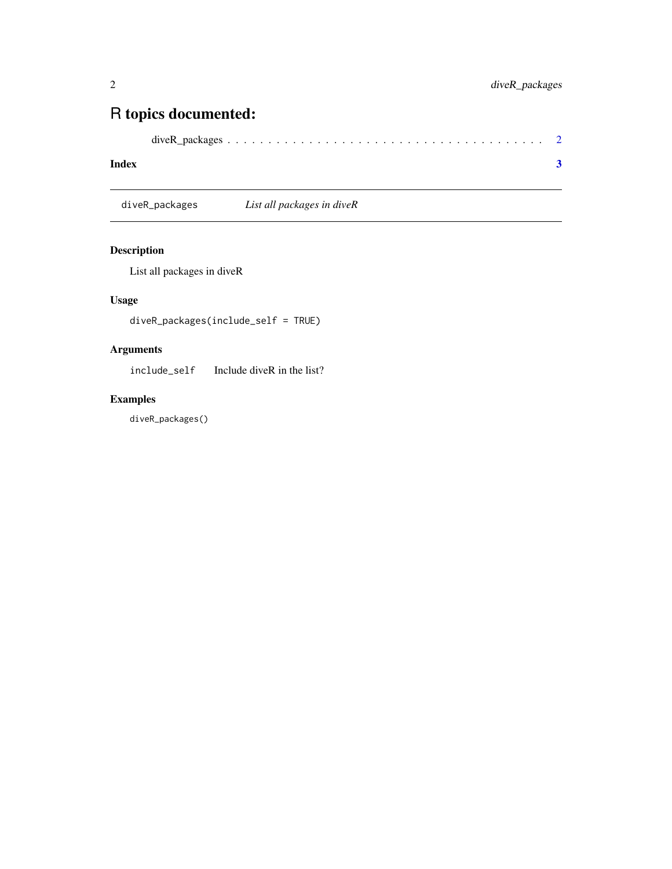### <span id="page-1-0"></span>R topics documented:

|--|--|--|--|--|--|--|--|--|--|--|--|--|--|--|--|--|--|--|--|--|--|--|--|--|--|--|--|--|--|--|--|--|--|--|--|--|--|--|

#### **Index** [3](#page-2-0)

diveR\_packages *List all packages in diveR*

#### Description

List all packages in diveR

#### Usage

diveR\_packages(include\_self = TRUE)

#### Arguments

include\_self Include diveR in the list?

#### Examples

diveR\_packages()